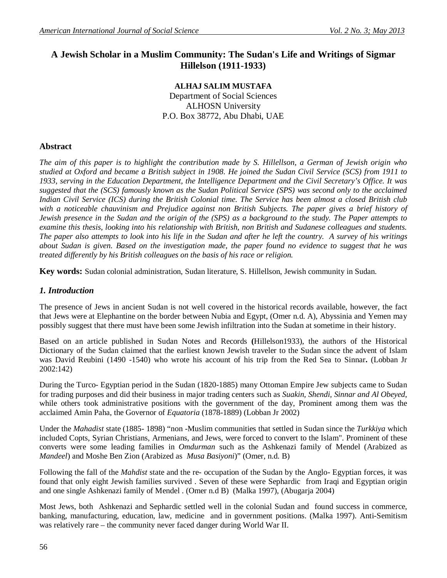# **A Jewish Scholar in a Muslim Community: The Sudan's Life and Writings of Sigmar Hillelson (1911-1933)**

**ALHAJ SALIM MUSTAFA** Department of Social Sciences ALHOSN University P.O. Box 38772, Abu Dhabi, UAE

# **Abstract**

*The aim of this paper is to highlight the contribution made by S. Hillellson, a German of Jewish origin who studied at Oxford and became a British subject in 1908. He joined the Sudan Civil Service (SCS) from 1911 to 1933, serving in the Education Department, the Intelligence Department and the Civil Secretary's Office. It was suggested that the (SCS) famously known as the Sudan Political Service (SPS) was second only to the acclaimed Indian Civil Service (ICS) during the British Colonial time. The Service has been almost a closed British club with a noticeable chauvinism and Prejudice against non British Subjects. The paper gives a brief history of Jewish presence in the Sudan and the origin of the (SPS) as a background to the study. The Paper attempts to examine this thesis, looking into his relationship with British, non British and Sudanese colleagues and students. The paper also attempts to look into his life in the Sudan and after he left the country. A survey of his writings about Sudan is given. Based on the investigation made, the paper found no evidence to suggest that he was treated differently by his British colleagues on the basis of his race or religion.*

**Key words:** Sudan colonial administration, Sudan literature, S. Hillellson, Jewish community in Sudan.

#### *1. Introduction*

The presence of Jews in ancient Sudan is not well covered in the historical records available, however, the fact that Jews were at Elephantine on the border between Nubia and Egypt, (Omer n.d. A), Abyssinia and Yemen may possibly suggest that there must have been some Jewish infiltration into the Sudan at sometime in their history.

Based on an article published in Sudan Notes and Records **(**Hillelson1933), the authors of the Historical Dictionary of the Sudan claimed that the earliest known Jewish traveler to the Sudan since the advent of Islam was David Reubini (1490 -1540) who wrote his account of his trip from the Red Sea to Sinnar**.** (Lobban Jr 2002:142)

During the Turco- Egyptian period in the Sudan (1820-1885) many Ottoman Empire Jew subjects came to Sudan for trading purposes and did their business in major trading centers such as *Suakin, Shendi, Sinnar and Al Obeyed*, while others took administrative positions with the government of the day, Prominent among them was the acclaimed Amin Paha, the Governor of *Equatoria* (1878-1889) (Lobban Jr 2002)

Under the *Mahadist* state (1885- 1898) "non -Muslim communities that settled in Sudan since the *Turkkiya* which included Copts, Syrian Christians, Armenians, and Jews, were forced to convert to the Islam". Prominent of these converts were some leading families in *Omdurman* such as the Ashkenazi family of Mendel (Arabized as *Mandeel*) and Moshe Ben Zion (Arabized as *Musa Basiyoni*)" (Omer, n.d. B)

Following the fall of the *Mahdist* state and the re- occupation of the Sudan by the Anglo- Egyptian forces, it was found that only eight Jewish families survived . Seven of these were Sephardic from Iraqi and Egyptian origin and one single Ashkenazi family of Mendel . (Omer n.d B) (Malka 1997), (Abugarja 2004)

Most Jews, both Ashkenazi and Sephardic settled well in the colonial Sudan and found success in commerce, banking, manufacturing, education, law, medicine and in government positions. (Malka 1997). Anti-Semitism was relatively rare – the community never faced danger during World War II.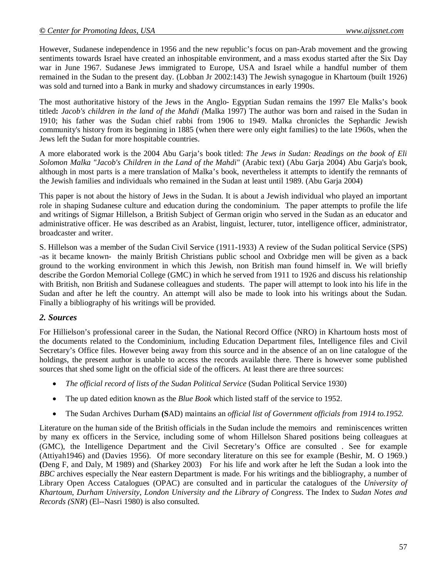However, Sudanese independence in 1956 and the new republic's focus on pan-Arab movement and the growing sentiments towards Israel have created an inhospitable environment, and a mass exodus started after the Six Day war in June 1967. Sudanese Jews immigrated to Europe, USA and Israel while a handful number of them remained in the Sudan to the present day. (Lobban Jr 2002:143) The Jewish synagogue in Khartoum (built 1926) was sold and turned into a Bank in murky and shadowy circumstances in early 1990s.

The most authoritative history of the Jews in the Anglo- Egyptian Sudan remains the 1997 Ele Malks's book titled**:** *Jacob's children in the land of the Mahdi (*Malka 1997) The author was born and raised in the Sudan in 1910; his father was the Sudan chief rabbi from 1906 to 1949. Malka chronicles the Sephardic Jewish community's history from its beginning in 1885 (when there were only eight families) to the late 1960s, when the Jews left the Sudan for more hospitable countries.

A more elaborated work is the 2004 Abu Garja's book titled: *The Jews in Sudan: Readings on the book of Eli Solomon Malka "Jacob's Children in the Land of the Mahdi*" (Arabic text) (Abu Garja 2004) Abu Garja's book, although in most parts is a mere translation of Malka's book, nevertheless it attempts to identify the remnants of the Jewish families and individuals who remained in the Sudan at least until 1989. (Abu Garja 2004)

This paper is not about the history of Jews in the Sudan. It is about a Jewish individual who played an important role in shaping Sudanese culture and education during the condominium. The paper attempts to profile the life and writings of Sigmar Hillelson, a British Subject of German origin who served in the Sudan as an educator and administrative officer. He was described as an Arabist, linguist, lecturer, tutor, intelligence officer, administrator, broadcaster and writer.

S. Hillelson was a member of the Sudan Civil Service (1911-1933) A review of the Sudan political Service (SPS) -as it became known- the mainly British Christians public school and Oxbridge men will be given as a back ground to the working environment in which this Jewish, non British man found himself in. We will briefly describe the Gordon Memorial College (GMC) in which he served from 1911 to 1926 and discuss his relationship with British, non British and Sudanese colleagues and students. The paper will attempt to look into his life in the Sudan and after he left the country. An attempt will also be made to look into his writings about the Sudan. Finally a bibliography of his writings will be provided.

#### *2. Sources*

For Hillielson's professional career in the Sudan, the National Record Office (NRO) in Khartoum hosts most of the documents related to the Condominium, including Education Department files, Intelligence files and Civil Secretary's Office files. However being away from this source and in the absence of an on line catalogue of the holdings, the present author is unable to access the records available there. There is however some published sources that shed some light on the official side of the officers. At least there are three sources:

- *The official record of lists of the Sudan Political Service* (Sudan Political Service 1930)
- The up dated edition known as the *Blue Book* which listed staff of the service to 1952.
- The Sudan Archives Durham **(S**AD) maintains an *official list of Government officials from 1914 to.1952.*

Literature on the human side of the British officials in the Sudan include the memoirs and reminiscences written by many ex officers in the Service, including some of whom Hillelson Shared positions being colleagues at (GMC), the Intelligence Department and the Civil Secretary's Office are consulted . See for example (Attiyah1946) and (Davies 1956). Of more secondary literature on this see for example (Beshir, M. O 1969.) **(**Deng F, and Daly, M 1989) and (Sharkey 2003) For his life and work after he left the Sudan a look into the *BBC* archives especially the Near eastern Department is made. For his writings and the bibliography, a number of Library Open Access Catalogues (OPAC) are consulted and in particular the catalogues of the *University of Khartoum*, *Durham University*, *London University and the Library of Congress*. The Index to *Sudan Notes and Records (SNR*) (El--Nasri 1980) is also consulted.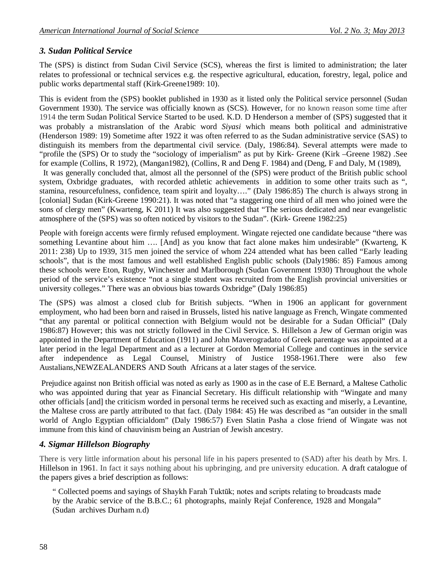### *3. Sudan Political Service*

The (SPS) is distinct from Sudan Civil Service (SCS), whereas the first is limited to administration; the later relates to professional or technical services e.g. the respective agricultural, education, forestry, legal, police and public works departmental staff (Kirk-Greene1989: 10).

This is evident from the (SPS) booklet published in 1930 as it listed only the Political service personnel (Sudan Government 1930). The service was officially known as (SCS). However, for no known reason some time after 1914 the term Sudan Political Service Started to be used. K.D. D Henderson a member of (SPS) suggested that it was probably a mistranslation of the Arabic word *Siyasi* which means both political and administrative (Henderson 1989: 19) Sometime after 1922 it was often referred to as the Sudan administrative service (SAS) to distinguish its members from the departmental civil service. (Daly, 1986:84). Several attempts were made to "profile the (SPS) Or to study the "sociology of imperialism" as put by Kirk- Greene (Kirk –Greene 1982) .See for example (Collins, R 1972), (Mangan1982), (Collins, R and Deng F. 1984) and (Deng, F and Daly, M (1989),

It was generally concluded that, almost all the personnel of the (SPS) were product of the British public school system, Oxbridge graduates, with recorded athletic achievements in addition to some other traits such as ", stamina, resourcefulness, confidence, team spirit and loyalty…." (Daly 1986:85) The church is always strong in [colonial] Sudan (Kirk-Greene 1990:21). It was noted that "a staggering one third of all men who joined were the sons of clergy men" (Kwarteng, K 2011) It was also suggested that "The serious dedicated and near evangelistic atmosphere of the (SPS) was so often noticed by visitors to the Sudan". (Kirk- Greene 1982:25)

People with foreign accents were firmly refused employment. Wingate rejected one candidate because "there was something Levantine about him .... [And] as you know that fact alone makes him undesirable" (Kwarteng, K 2011: 238) Up to 1939, 315 men joined the service of whom 224 attended what has been called "Early leading schools", that is the most famous and well established English public schools (Daly1986: 85) Famous among these schools were Eton, Rugby, Winchester and Marlborough (Sudan Government 1930) Throughout the whole period of the service's existence "not a single student was recruited from the English provincial universities or university colleges." There was an obvious bias towards Oxbridge" (Daly 1986:85)

The (SPS) was almost a closed club for British subjects. "When in 1906 an applicant for government employment, who had been born and raised in Brussels, listed his native language as French, Wingate commented "that any parental or political connection with Belgium would not be desirable for a Sudan Official" (Daly 1986:87) However; this was not strictly followed in the Civil Service. S. Hillelson a Jew of German origin was appointed in the Department of Education (1911) and John Maverogradato of Greek parentage was appointed at a later period in the legal Department and as a lecturer at Gordon Memorial College and continues in the service after independence as Legal Counsel, Ministry of Justice 1958-1961.There were also few Austalians,NEWZEALANDERS AND South Africans at a later stages of the service.

Prejudice against non British official was noted as early as 1900 as in the case of E.E Bernard, a Maltese Catholic who was appointed during that year as Financial Secretary. His difficult relationship with "Wingate and many other officials [and] the criticism worded in personal terms he received such as exacting and miserly, a Levantine, the Maltese cross are partly attributed to that fact. (Daly 1984: 45) He was described as "an outsider in the small world of Anglo Egyptian officialdom" (Daly 1986:57) Even Slatin Pasha a close friend of Wingate was not immune from this kind of chauvinism being an Austrian of Jewish ancestry.

## *4. Sigmar Hillelson Biography*

There is very little information about his personal life in his papers presented to (SAD) after his death by Mrs. I. Hillelson in 1961. In fact it says nothing about his upbringing, and pre university education. A draft catalogue of the papers gives a brief description as follows:

" Collected poems and sayings of Shaykh Farah Tuktūk; notes and scripts relating to broadcasts made by the Arabic service of the B.B.C.; 61 photographs, mainly Rejaf Conference, 1928 and Mongala" (Sudan archives Durham n.d)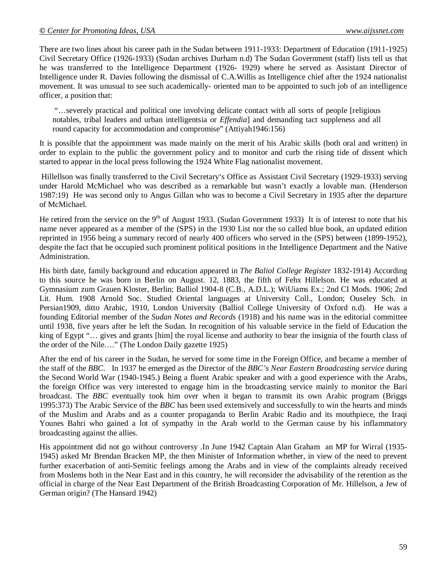There are two lines about his career path in the Sudan between 1911-1933: Department of Education (1911-1925) Civil Secretary Office (1926-1933) (Sudan archives Durham n.d) The Sudan Government (staff) lists tell us that he was transferred to the Intelligence Department (1926- 1929) where he served as Assistant Director of Intelligence under R. Davies following the dismissal of C.A.Willis as Intelligence chief after the 1924 nationalist movement. It was unusual to see such academically- oriented man to be appointed to such job of an intelligence officer, a position that:

"…severely practical and political one involving delicate contact with all sorts of people [religious notables, tribal leaders and urban intelligentsia or *Effendia*] and demanding tact suppleness and all round capacity for accommodation and compromise" (Attiyah1946:156)

It is possible that the appointment was made mainly on the merit of his Arabic skills (both oral and written) in order to explain to the public the government policy and to monitor and curb the rising tide of dissent which started to appear in the local press following the 1924 White Flag nationalist movement.

Hillellson was finally transferred to the Civil Secretary's Office as Assistant Civil Secretary (1929-1933) serving under Harold McMichael who was described as a remarkable but wasn't exactly a lovable man. (Henderson 1987:19) He was second only to Angus Gillan who was to become a Civil Secretary in 1935 after the departure of McMichael.

He retired from the service on the 9<sup>th</sup> of August 1933. (Sudan Government 1933) It is of interest to note that his name never appeared as a member of the (SPS) in the 1930 List nor the so called blue book, an updated edition reprinted in 1956 being a summary record of nearly 400 officers who served in the (SPS) between (1899-1952), despite the fact that he occupied such prominent political positions in the Intelligence Department and the Native Administration.

His birth date, family background and education appeared in *The Baliol College Register* 1832-1914) According to this source he was born in Berlin on August. 12, 1883, the fifth of Fehx Hillelson. He was educated at Gymnasium zum Grauen Kloster, Berlin; Balliol 1904-8 (C.B., A.D.L.); WiUiams Ex.; 2nd CI Mods. 1906; 2nd Lit. Hum. 1908 Arnold Soc. Studied Oriental languages at University Coll., London; Ouseley Sch. in Persian1909, ditto Arabic, 1910, London University (Balliol College University of Oxford n.d). He was a founding Editorial member of the *Sudan Notes and Records* (1918) and his name was in the editorial committee until 1938, five years after he left the Sudan. In recognition of his valuable service in the field of Education the king of Egypt "… gives and grants [him] the royal license and authority to bear the insignia of the fourth class of the order of the Nile…." (The London Daily gazette 1925)

After the end of his career in the Sudan, he served for some time in the Foreign Office, and became a member of the staff of the *BBC*. In 1937 he emerged as the Director of the *BBC's Near Eastern Broadcasting service* during the Second World War (1940-1945.) Being a fluent Arabic speaker and with a good experience with the Arabs, the foreign Office was very interested to engage him in the broadcasting service mainly to monitor the Bari broadcast. The *BBC* eventually took him over when it began to transmit its own Arabic program (Briggs 1995:373) The Arabic Service of the *BBC* has been used extensively and successfully to win the hearts and minds of the Muslim and Arabs and as a counter propaganda to Berlin Arabic Radio and its mouthpiece, the Iraqi Younes Bahri who gained a lot of sympathy in the Arab world to the German cause by his inflammatory broadcasting against the allies.

His appointment did not go without controversy .In June 1942 Captain Alan Graham an MP for Wirral (1935- 1945) asked Mr Brendan Bracken MP, the then Minister of Information whether, in view of the need to prevent further exacerbation of anti-Semitic feelings among the Arabs and in view of the complaints already received from Moslems both in the Near East and in this country, he will reconsider the advisability of the retention as the official in charge of the Near East Department of the British Broadcasting Corporation of Mr. Hillelson, a Jew of German origin? (The Hansard 1942)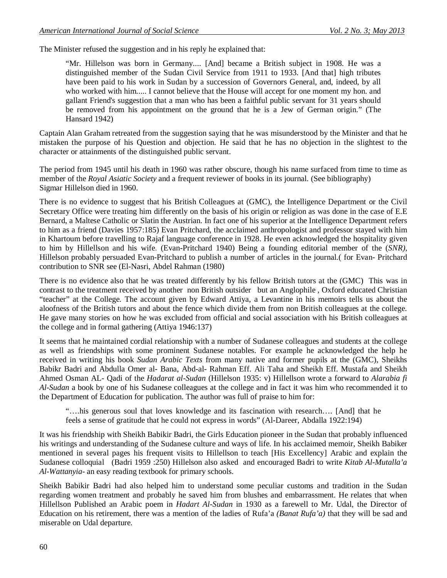The Minister refused the suggestion and in his reply he explained that:

"Mr. Hillelson was born in Germany.... [And] became a British subject in 1908. He was a distinguished member of the Sudan Civil Service from 1911 to 1933. [And that] high tributes have been paid to his work in Sudan by a succession of Governors General, and, indeed, by all who worked with him..... I cannot believe that the House will accept for one moment my hon. and gallant Friend's suggestion that a man who has been a faithful public servant for 31 years should be removed from his appointment on the ground that he is a Jew of German origin." (The Hansard 1942)

Captain Alan Graham retreated from the suggestion saying that he was misunderstood by the Minister and that he mistaken the purpose of his Question and objection. He said that he has no objection in the slightest to the character or attainments of the distinguished public servant.

The period from 1945 until his death in 1960 was rather obscure, though his name surfaced from time to time as member of the *Royal Asiatic Society* and a frequent reviewer of books in its journal. (See bibliography) Sigmar Hillelson died in 1960.

There is no evidence to suggest that his British Colleagues at (GMC), the Intelligence Department or the Civil Secretary Office were treating him differently on the basis of his origin or religion as was done in the case of E.E Bernard, a Maltese Catholic or Slatin the Austrian. In fact one of his superior at the Intelligence Department refers to him as a friend (Davies 1957:185) Evan Pritchard, the acclaimed anthropologist and professor stayed with him in Khartoum before travelling to Rajaf language conference in 1928. He even acknowledged the hospitality given to him by Hillellson and his wife. (Evan-Pritchard 1940) Being a founding editorial member of the (*SNR)*, Hillelson probably persuaded Evan-Pritchard to publish a number of articles in the journal.( for Evan- Pritchard contribution to SNR see (El-Nasri, Abdel Rahman (1980)

There is no evidence also that he was treated differently by his fellow British tutors at the (GMC) This was in contrast to the treatment received by another non British outsider but an Anglophile , Oxford educated Christian "teacher" at the College. The account given by Edward Attiya, a Levantine in his memoirs tells us about the aloofness of the British tutors and about the fence which divide them from non British colleagues at the college. He gave many stories on how he was excluded from official and social association with his British colleagues at the college and in formal gathering (Attiya 1946:137)

It seems that he maintained cordial relationship with a number of Sudanese colleagues and students at the college as well as friendships with some prominent Sudanese notables. For example he acknowledged the help he received in writing his book *Sudan Arabic Texts* from many native and former pupils at the (GMC), Sheikhs Babikr Badri and Abdulla Omer al- Bana, Abd-al- Rahman Eff. Ali Taha and Sheikh Eff. Mustafa and Sheikh Ahmed Osman AL- Qadi of the *Hadarat al-Sudan* (Hillelson 1935: v) Hillellson wrote a forward to *Alarabia fi Al-Sudan* a book by one of his Sudanese colleagues at the college and in fact it was him who recommended it to the Department of Education for publication. The author was full of praise to him for:

"….his generous soul that loves knowledge and its fascination with research…. [And] that he feels a sense of gratitude that he could not express in words" (Al-Dareer, Abdalla 1922:194)

It was his friendship with Sheikh Babikir Badri, the Girls Education pioneer in the Sudan that probably influenced his writings and understanding of the Sudanese culture and ways of life. In his acclaimed memoir, Sheikh Babiker mentioned in several pages his frequent visits to Hillellson to teach [His Excellency] Arabic and explain the Sudanese colloquial (Badri 1959 :250) Hillelson also asked and encouraged Badri to write *Kitab Al-Mutalla'a Al-Wattanyia-* an easy reading textbook for primary schools.

Sheikh Babikir Badri had also helped him to understand some peculiar customs and tradition in the Sudan regarding women treatment and probably he saved him from blushes and embarrassment. He relates that when Hillellson Published an Arabic poem in *Hadart Al-Sudan* in 1930 as a farewell to Mr. Udal, the Director of Education on his retirement, there was a mention of the ladies of Rufa'a *(Banat Rufa'a)* that they will be sad and miserable on Udal departure.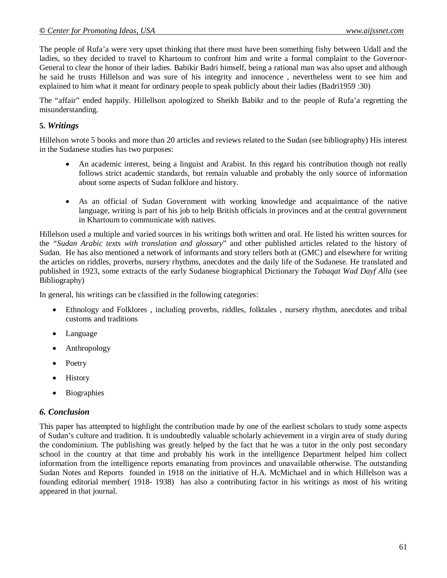The people of Rufa'a were very upset thinking that there must have been something fishy between Udall and the ladies, so they decided to travel to Khartoum to confront him and write a formal complaint to the Governor-General to clear the honor of their ladies. Babikir Badri himself, being a rational man was also upset and although he said he trusts Hillelson and was sure of his integrity and innocence , nevertheless went to see him and explained to him what it meant for ordinary people to speak publicly about their ladies (Badri1959 :30)

The "affair" ended happily. Hillellson apologized to Sheikh Babikr and to the people of Rufa'a regretting the misunderstanding.

#### **5.** *Writings*

Hillelson wrote 5 books and more than 20 articles and reviews related to the Sudan (see bibliography) His interest in the Sudanese studies has two purposes:

- An academic interest, being a linguist and Arabist. In this regard his contribution though not really follows strict academic standards, but remain valuable and probably the only source of information about some aspects of Sudan folklore and history.
- As an official of Sudan Government with working knowledge and acquaintance of the native language, writing is part of his job to help British officials in provinces and at the central government in Khartoum to communicate with natives.

Hillelson used a multiple and varied sources in his writings both written and oral. He listed his written sources for the *"Sudan Arabic texts with translation and glossary*" and other published articles related to the history of Sudan. He has also mentioned a network of informants and story tellers both at (GMC) and elsewhere for writing the articles on riddles, proverbs, nursery rhythms, anecdotes and the daily life of the Sudanese. He translated and published in 1923, some extracts of the early Sudanese biographical Dictionary the *Tabaqat Wad Dayf Alla* (see Bibliography)

In general, his writings can be classified in the following categories:

- Ethnology and Folklores , including proverbs, riddles, folktales , nursery rhythm, anecdotes and tribal customs and traditions
- Language
- Anthropology
- Poetry
- History
- Biographies

#### *6. Conclusion*

This paper has attempted to highlight the contribution made by one of the earliest scholars to study some aspects of Sudan's culture and tradition. It is undoubtedly valuable scholarly achievement in a virgin area of study during the condominium. The publishing was greatly helped by the fact that he was a tutor in the only post secondary school in the country at that time and probably his work in the intelligence Department helped him collect information from the intelligence reports emanating from provinces and unavailable otherwise. The outstanding Sudan Notes and Reports founded in 1918 on the initiative of H.A. McMichael and in which Hillelson was a founding editorial member( 1918- 1938) has also a contributing factor in his writings as most of his writing appeared in that journal.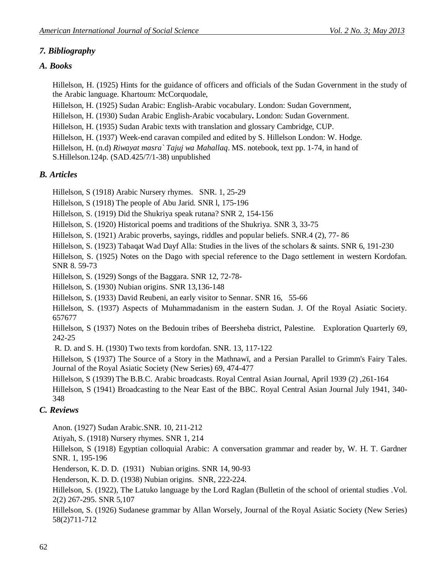# *7. Bibliography*

## *A. Books*

Hillelson, H. (1925) Hints for the guidance of officers and officials of the Sudan Government in the study of the Arabic language. Khartoum: McCorquodale,

Hillelson, H. (1925) Sudan Arabic: English-Arabic vocabulary. London: Sudan Government,

Hillelson, H. (1930) Sudan Arabic English-Arabic vocabulary**.** London: Sudan Government.

Hillelson, H. (1935) Sudan Arabic texts with translation and glossary Cambridge, CUP.

Hillelson, H. (1937) Week-end caravan compiled and edited by S. Hillelson London: W. Hodge.

Hillelson, H. (n.d) *Riwayat masra` Tajuj wa Mahallaq*. MS. notebook, text pp. 1-74, in hand of S.Hillelson.124p. (SAD.425/7/1-38) unpublished

## *B. Articles*

Hillelson, S (1918) Arabic Nursery rhymes. SNR. 1, 25-29

Hillelson, S (1918) The people of Abu Jarid. SNR l, 175-196

Hillelson, S. (1919) Did the Shukriya speak rutana? SNR 2, 154-156

Hillelson, S. (1920) Historical poems and traditions of the Shukriya. SNR 3, 33-75

Hillelson, S. (1921) Arabic proverbs, sayings, riddles and popular beliefs. SNR.4 (2), 77- 86

Hillelson, S. (1923) Tabaqat Wad Dayf Alla: Studies in the lives of the scholars & saints. SNR 6, 191-230

Hillelson, S. (1925) Notes on the Dago with special reference to the Dago settlement in western Kordofan. SNR 8. 59-73

Hillelson, S. (1929) Songs of the Baggara. SNR 12, 72-78-

Hillelson, S. (1930) Nubian origins. SNR 13,136-148

Hillelson, S. (1933) David Reubeni, an early visitor to Sennar. SNR 16, 55-66

Hillelson, S. (1937) Aspects of Muhammadanism in the eastern Sudan. J. Of the Royal Asiatic Society. 657677

Hillelson, S (1937) Notes on the Bedouin tribes of Beersheba district, Palestine. Exploration Quarterly 69, 242-25

R. D. and S. H. (1930) Two texts from kordofan. SNR. 13, 117-122

Hillelson, S (1937) The Source of a Story in the Mathnawï, and a Persian Parallel to Grimm's Fairy Tales. Journal of the Royal Asiatic Society (New Series) 69, 474-477

Hillelson, S (1939) The B.B.C. Arabic broadcasts. Royal Central Asian Journal, April 1939 (2) ,261-164

Hillelson, S (1941) Broadcasting to the Near East of the BBC. Royal Central Asian Journal July 1941, 340- 348

## *C. Reviews*

Anon. (1927) Sudan Arabic.SNR. 10, 211-212

Atiyah, S. (1918) Nursery rhymes. SNR 1, 214

Hillelson, S (1918) Egyptian colloquial Arabic: A conversation grammar and reader by, W. H. T. Gardner SNR. 1, 195-196

Henderson, K. D. D. (1931) Nubian origins. SNR 14, 90-93

Henderson, K. D. D. (1938) Nubian origins. SNR, 222-224.

Hillelson, S. (1922), The Latuko language by the Lord Raglan (Bulletin of the school of oriental studies .Vol. 2(2) 267-295. SNR 5,107

Hillelson, S. (1926) Sudanese grammar by Allan Worsely, Journal of the Royal Asiatic Society (New Series) 58(2)711-712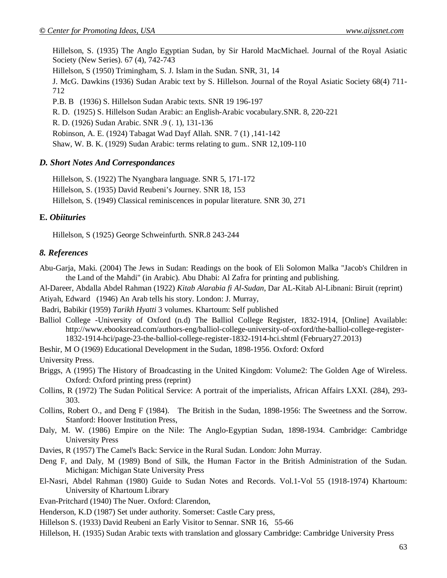Hillelson, S. (1935) The Anglo Egyptian Sudan, by Sir Harold MacMichael. Journal of the Royal Asiatic Society (New Series). 67 (4), 742-743

Hillelson, S (1950) Trimingham, S. J. Islam in the Sudan. SNR, 31, 14

J. McG. Dawkins (1936) Sudan Arabic text by S. Hillelson. Journal of the Royal Asiatic Society 68(4) 711- 712

P.B. B (1936) S. Hillelson Sudan Arabic texts. SNR 19 196-197

R. D. (1925) S. Hillelson Sudan Arabic: an English-Arabic vocabulary.SNR. 8, 220-221

R. D. (1926) Sudan Arabic. SNR .9 (. 1), 131-136

Robinson, A. E. (1924) Tabagat Wad Dayf Allah. SNR. 7 (1) ,141-142

Shaw, W. B. K. (1929) Sudan Arabic: terms relating to gum.. SNR 12,109-110

#### *D. Short Notes And Correspondances*

Hillelson, S. (1922) The Nyangbara language. SNR 5, 171-172

Hillelson, S. (1935) David Reubeni's Journey. SNR 18, 153

Hillelson, S. (1949) Classical reminiscences in popular literature. SNR 30, 271

### **E.** *Obiituries*

Hillelson, S (1925) George Schweinfurth. SNR.8 243-244

### *8. References*

Abu-Garja, Maki. (2004) The Jews in Sudan: Readings on the book of Eli Solomon Malka "Jacob's Children in the Land of the Mahdi" (in Arabic). Abu Dhabi: Al Zafra for printing and publishing.

Al-Dareer, Abdalla Abdel Rahman (1922) *Kitab Alarabia fi Al-Sudan*, Dar AL-Kitab Al-Libnani: Biruit (reprint)

Atiyah, Edward (1946) An Arab tells his story. London: J. Murray,

Badri, Babikir (1959) *Tarikh Hyatti* 3 volumes. Khartoum: Self published

Balliol College -University of Oxford (n.d) The Balliol College Register, 1832-1914, [Online] Available: http://www.ebooksread.com/authors-eng/balliol-college-university-of-oxford/the-balliol-college-register-1832-1914-hci/page-23-the-balliol-college-register-1832-1914-hci.shtml (February27.2013)

Beshir, M O (1969) Educational Development in the Sudan, 1898-1956. Oxford: Oxford

University Press.

- Briggs, A (1995) The History of Broadcasting in the United Kingdom: Volume2: The Golden Age of Wireless. Oxford: Oxford printing press (reprint)
- Collins, R (1972) The Sudan Political Service: A portrait of the imperialists, African Affairs LXXI. (284), 293- 303.
- Collins, Robert O., and Deng F (1984). The British in the Sudan, 1898-1956: The Sweetness and the Sorrow. Stanford: Hoover Institution Press,
- Daly, M. W. (1986) Empire on the Nile: The Anglo-Egyptian Sudan, 1898-1934. Cambridge: Cambridge University Press
- Davies, R (1957) The Camel's Back: Service in the Rural Sudan. London: John Murray.
- Deng F, and Daly, M (1989) Bond of Silk, the Human Factor in the British Administration of the Sudan. Michigan: Michigan State University Press
- El-Nasri, Abdel Rahman (1980) Guide to Sudan Notes and Records. Vol.1-Vol 55 (1918-1974) Khartoum: University of Khartoum Library
- Evan-Pritchard (1940) The Nuer. Oxford: Clarendon,
- Henderson, K.D (1987) Set under authority. Somerset: Castle Cary press,
- Hillelson S. (1933) David Reubeni an Early Visitor to Sennar. SNR 16, 55-66
- Hillelson, H. (1935) Sudan Arabic texts with translation and glossary Cambridge: Cambridge University Press